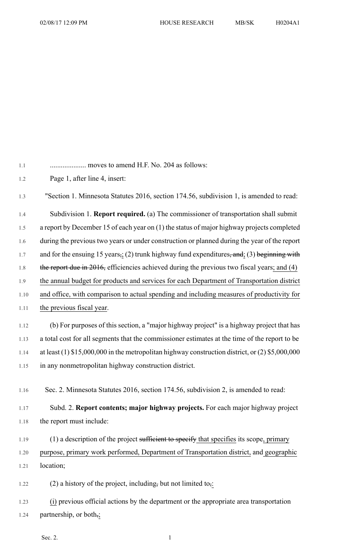| 1.1  |                                                                                                     |
|------|-----------------------------------------------------------------------------------------------------|
| 1.2  | Page 1, after line 4, insert:                                                                       |
| 1.3  | "Section 1. Minnesota Statutes 2016, section 174.56, subdivision 1, is amended to read:             |
| 1.4  | Subdivision 1. <b>Report required.</b> (a) The commissioner of transportation shall submit          |
| 1.5  | a report by December 15 of each year on (1) the status of major highway projects completed          |
| 1.6  | during the previous two years or under construction or planned during the year of the report        |
| 1.7  | and for the ensuing 15 years,; (2) trunk highway fund expenditures, and; (3) beginning with         |
| 1.8  | the report due in 2016, efficiencies achieved during the previous two fiscal years; and (4)         |
| 1.9  | the annual budget for products and services for each Department of Transportation district          |
| 1.10 | and office, with comparison to actual spending and including measures of productivity for           |
| 1.11 | the previous fiscal year.                                                                           |
| 1.12 | (b) For purposes of this section, a "major highway project" is a highway project that has           |
| 1.13 | a total cost for all segments that the commissioner estimates at the time of the report to be       |
| 1.14 | at least $(1)$ \$15,000,000 in the metropolitan highway construction district, or $(2)$ \$5,000,000 |
| 1.15 | in any nonmetropolitan highway construction district.                                               |
| 1.16 | Sec. 2. Minnesota Statutes 2016, section 174.56, subdivision 2, is amended to read:                 |
| 1.17 | Subd. 2. Report contents; major highway projects. For each major highway project                    |
| 1.18 | the report must include:                                                                            |
| 1.19 | $(1)$ a description of the project sufficient to specify that specifies its scope, primary          |
| 1.20 | purpose, primary work performed, Department of Transportation district, and geographic              |
| 1.21 | location;                                                                                           |

1.22 (2) a history of the project, including, but not limited to<sub>5</sub>:

1.23 (i) previous official actions by the department or the appropriate area transportation 1.24 partnership, or both<sub>72</sub>